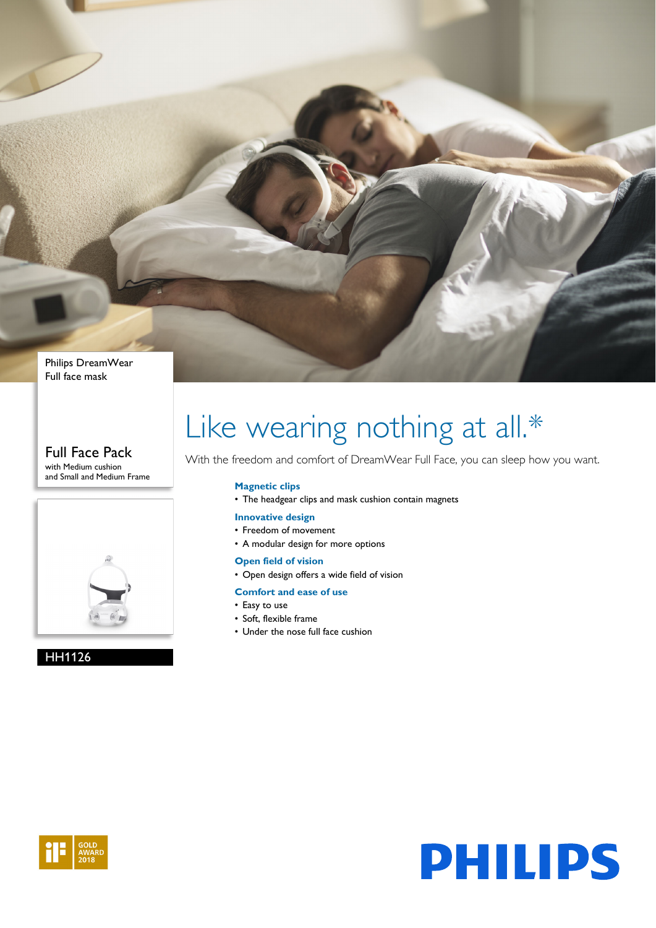

#### Full Face Pack with Medium cushion and Small and Medium Frame



#### HH1126

# Like wearing nothing at all.\*

With the freedom and comfort of DreamWear Full Face, you can sleep how you want.

#### **Magnetic clips**

• The headgear clips and mask cushion contain magnets

#### **Innovative design**

- Freedom of movement
- A modular design for more options

#### **Open field of vision**

• Open design offers a wide field of vision

#### **Comfort and ease of use**

- Easy to use
- Soft, flexible frame
- Under the nose full face cushion